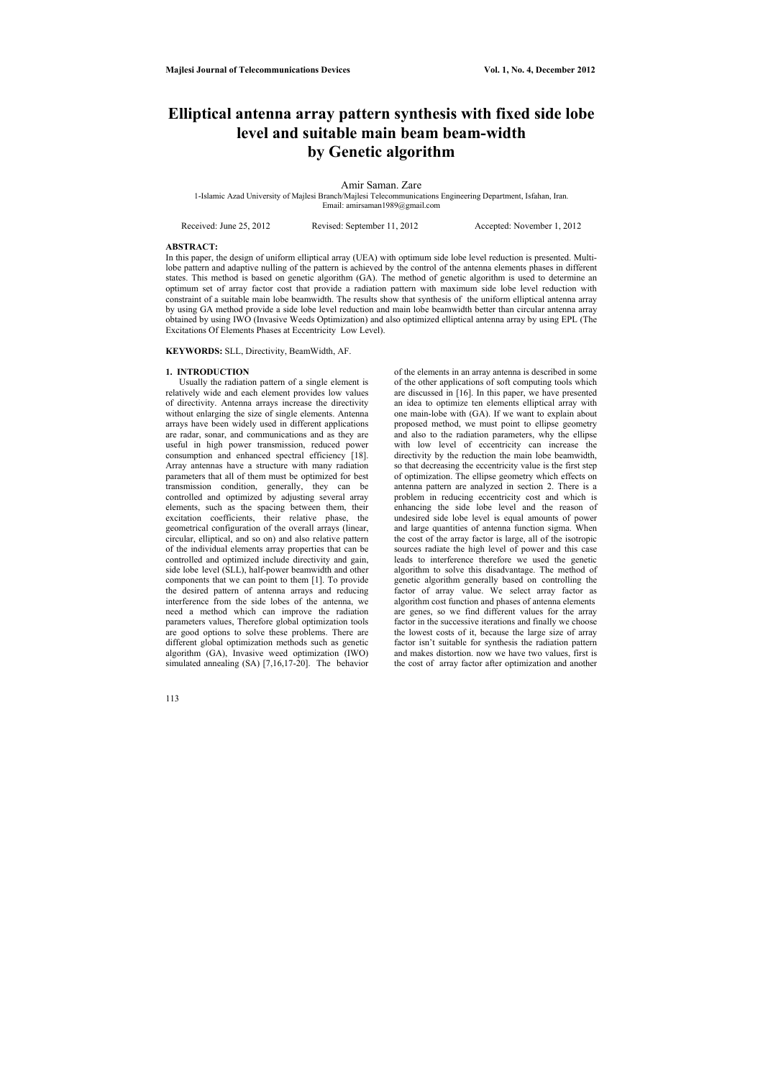# **Elliptical antenna array pattern synthesis with fixed side lobe level and suitable main beam beam-width by Genetic algorithm**

#### Amir Saman. Zare

1-Islamic Azad University of Majlesi Branch/Majlesi Telecommunications Engineering Department, Isfahan, Iran. Email: amirsaman1989@gmail.com

Received: June 25, 2012 Revised: September 11, 2012 Accepted: November 1, 2012

#### **ABSTRACT:**

In this paper, the design of uniform elliptical array (UEA) with optimum side lobe level reduction is presented. Multilobe pattern and adaptive nulling of the pattern is achieved by the control of the antenna elements phases in different states. This method is based on genetic algorithm (GA). The method of genetic algorithm is used to determine an optimum set of array factor cost that provide a radiation pattern with maximum side lobe level reduction with constraint of a suitable main lobe beamwidth. The results show that synthesis of the uniform elliptical antenna array by using GA method provide a side lobe level reduction and main lobe beamwidth better than circular antenna array obtained by using IWO (Invasive Weeds Optimization) and also optimized elliptical antenna array by using EPL (The Excitations Of Elements Phases at Eccentricity Low Level).

**KEYWORDS:** SLL, Directivity, BeamWidth, AF.

#### **1. INTRODUCTION**

 Usually the radiation pattern of a single element is relatively wide and each element provides low values of directivity. Antenna arrays increase the directivity without enlarging the size of single elements. Antenna arrays have been widely used in different applications are radar, sonar, and communications and as they are useful in high power transmission, reduced power consumption and enhanced spectral efficiency [18]. Array antennas have a structure with many radiation parameters that all of them must be optimized for best transmission condition, generally, they can be controlled and optimized by adjusting several array elements, such as the spacing between them, their excitation coefficients, their relative phase, the geometrical configuration of the overall arrays (linear, circular, elliptical, and so on) and also relative pattern of the individual elements array properties that can be controlled and optimized include directivity and gain, side lobe level (SLL), half-power beamwidth and other components that we can point to them [1]. To provide the desired pattern of antenna arrays and reducing interference from the side lobes of the antenna, we need a method which can improve the radiation parameters values, Therefore global optimization tools are good options to solve these problems. There are different global optimization methods such as genetic algorithm (GA), Invasive weed optimization (IWO) simulated annealing (SA) [7,16,17-20]. The behavior

of the elements in an array antenna is described in some of the other applications of soft computing tools which are discussed in [16]. In this paper, we have presented an idea to optimize ten elements elliptical array with one main-lobe with (GA). If we want to explain about proposed method, we must point to ellipse geometry and also to the radiation parameters, why the ellipse with low level of eccentricity can increase the directivity by the reduction the main lobe beamwidth, so that decreasing the eccentricity value is the first step of optimization. The ellipse geometry which effects on antenna pattern are analyzed in section 2. There is a problem in reducing eccentricity cost and which is enhancing the side lobe level and the reason of undesired side lobe level is equal amounts of power and large quantities of antenna function sigma. When the cost of the array factor is large, all of the isotropic sources radiate the high level of power and this case leads to interference therefore we used the genetic algorithm to solve this disadvantage. The method of genetic algorithm generally based on controlling the factor of array value. We select array factor as algorithm cost function and phases of antenna elements are genes, so we find different values for the array factor in the successive iterations and finally we choose the lowest costs of it, because the large size of array factor isn't suitable for synthesis the radiation pattern and makes distortion. now we have two values, first is the cost of array factor after optimization and another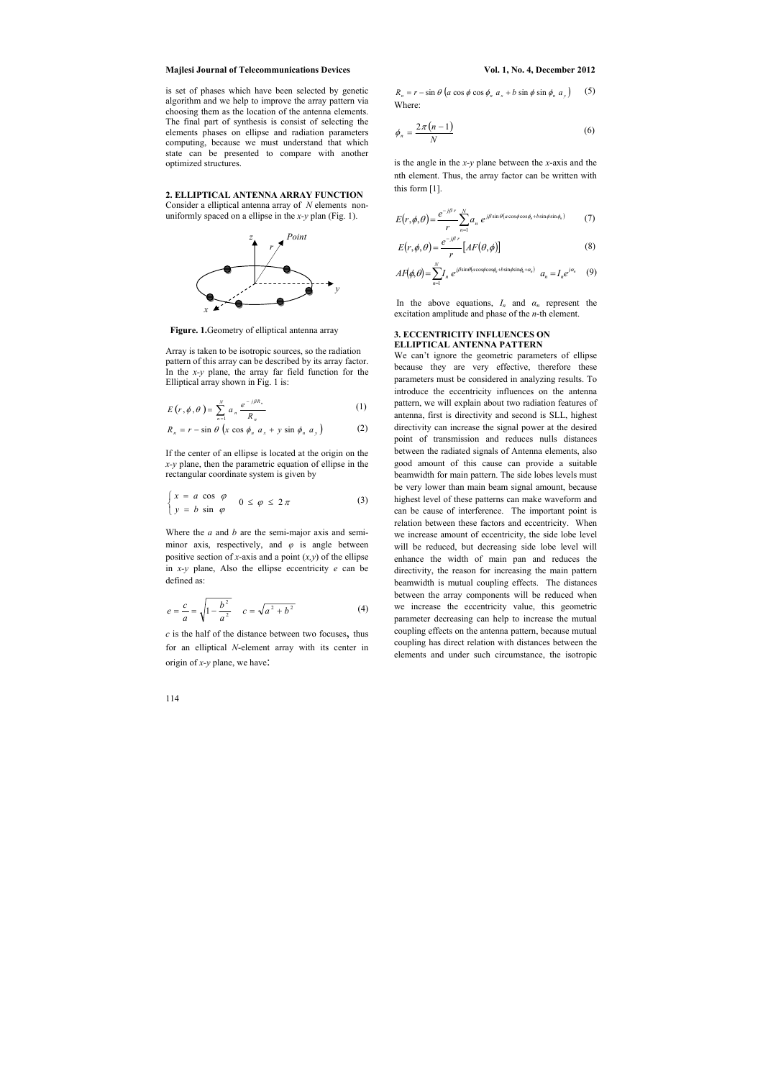is set of phases which have been selected by genetic algorithm and we help to improve the array pattern via choosing them as the location of the antenna elements. The final part of synthesis is consist of selecting the elements phases on ellipse and radiation parameters computing, because we must understand that which state can be presented to compare with another optimized structures.

## **2. ELLIPTICAL ANTENNA ARRAY FUNCTION**

Consider a elliptical antenna array of *N* elements nonuniformly spaced on a ellipse in the *x-y* plan (Fig. 1).



 **Figure. 1.**Geometry of elliptical antenna array

Array is taken to be isotropic sources, so the radiation pattern of this array can be described by its array factor. In the *x-y* plane, the array far field function for the Elliptical array shown in Fig. 1 is:

 $R_n = r - \sin \theta \left( a \cos \phi \cos \phi_n a_x + b \sin \phi \sin \phi_n a_y \right)$  (5) Where:

$$
E(r, \phi, \theta) = \sum_{n=1}^{N} a_n \frac{e^{-j\beta R_n}}{R_n}
$$
 (1)

$$
R_n = r - \sin \theta \left( x \cos \phi_n \ a_x + y \sin \phi_n \ a_y \right) \tag{2}
$$

If the center of an ellipse is located at the origin on the *x-y* plane, then the parametric equation of ellipse in the rectangular coordinate system is given by

In the above equations,  $I_n$  and  $\alpha_n$  represent the excitation amplitude and phase of the *n*-th element.

$$
\begin{cases} x = a \cos \varphi \\ y = b \sin \varphi \end{cases} \quad 0 \le \varphi \le 2\pi
$$
 (3)

Where the *a* and *b* are the semi-major axis and semiminor axis, respectively, and  $\varphi$  is angle between positive section of *x*-axis and a point (*x,y*) of the ellipse in *x-y* plane, Also the ellipse eccentricity *e* can be defined as:

$$
e = \frac{c}{a} = \sqrt{1 - \frac{b^2}{a^2}} \qquad c = \sqrt{a^2 + b^2} \tag{4}
$$

*c* is the half of the distance between two focuses, thus for an elliptical *N*-element array with its center in origin of *x-y* plane, we have:

$$
\phi_n = \frac{2\pi (n-1)}{N} \tag{6}
$$

is the angle in the *x-y* plane between the *x*-axis and the nth element. Thus, the array factor can be written with this form [1].

$$
E(r,\phi,\theta) = \frac{e^{-j\beta r}}{r} \sum_{n=1}^{N} a_n e^{j\beta \sin \theta (a \cos \phi \cos \phi_n + b \sin \phi \sin \phi_n)}
$$
(7)

$$
E(r,\phi,\theta) = \frac{e^{-j\beta r}}{r} \left[ AF(\theta,\phi) \right]
$$
 (8)

$$
AF(\phi,\theta) = \sum_{n=1}^{N} I_n e^{i\beta \sin\theta (a\cos\phi \cos\phi_n + b\sin\phi \sin\phi_n + \alpha_n)} a_n = I_n e^{i\alpha_n} \quad (9)
$$

### **3. ECCENTRICITY INFLUENCES ON ELLIPTICAL ANTENNA PATTERN**

We can't ignore the geometric parameters of ellipse because they are very effective, therefore these parameters must be considered in analyzing results. To introduce the eccentricity influences on the antenna pattern, we will explain about two radiation features of antenna, first is directivity and second is SLL, highest directivity can increase the signal power at the desired point of transmission and reduces nulls distances between the radiated signals of Antenna elements, also good amount of this cause can provide a suitable beamwidth for main pattern. The side lobes levels must be very lower than main beam signal amount, because highest level of these patterns can make waveform and can be cause of interference. The important point is relation between these factors and eccentricity. When we increase amount of eccentricity, the side lobe level will be reduced, but decreasing side lobe level will enhance the width of main pan and reduces the directivity, the reason for increasing the main pattern beamwidth is mutual coupling effects. The distances between the array components will be reduced when we increase the eccentricity value, this geometric parameter decreasing can help to increase the mutual coupling effects on the antenna pattern, because mutual coupling has direct relation with distances between the elements and under such circumstance, the isotropic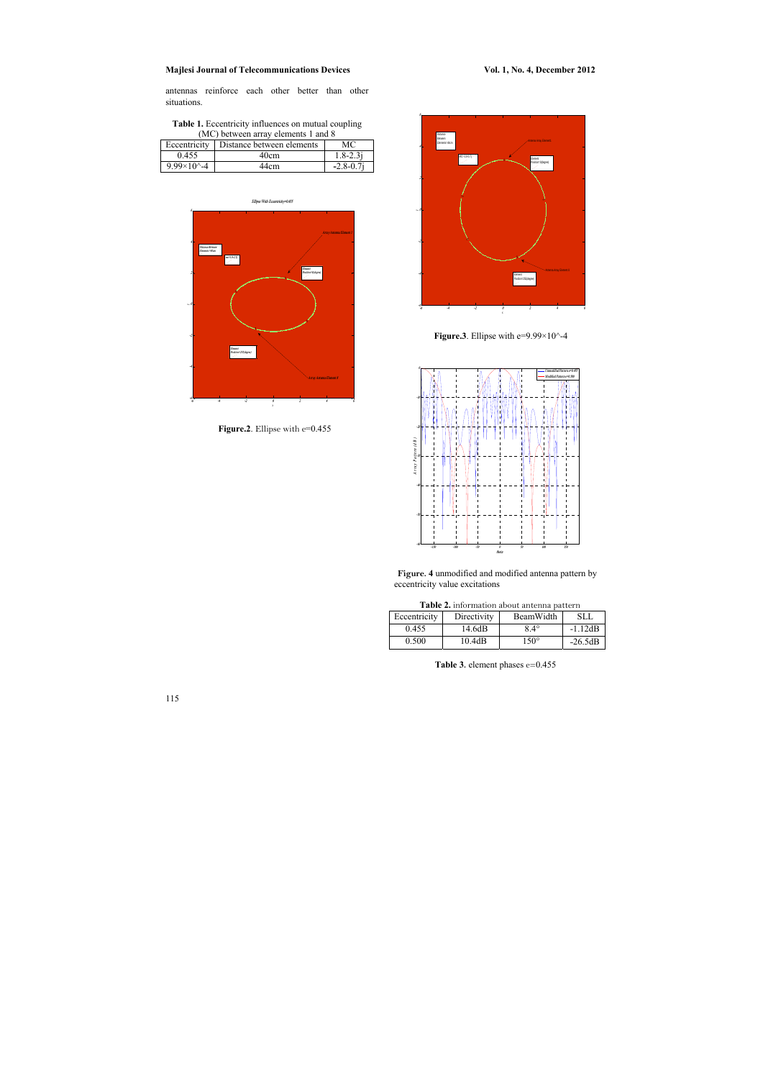antennas reinforce each other better than other situations.



Figure.2. Ellipse with e=0.455

| <b>Table 1.</b> Eccentricity influences on mutual coupling |
|------------------------------------------------------------|
| (MC) between array elements 1 and 8                        |

| Eccentricity             | Distance between elements | МC            |
|--------------------------|---------------------------|---------------|
| 0.455                    | 40cm                      | $1.8 - 2.3i$  |
| $9.99 \times 10^{4} - 4$ | 44cm                      | $-2.8 - 0.7i$ |



**Figure.3**. Ellipse with e=9.99×10^-4



**Figure. 4** unmodified and modified antenna pattern by eccentricity value excitations

| Table 2. information about antenna pattern |             |             |           |
|--------------------------------------------|-------------|-------------|-----------|
| Eccentricity                               | Directivity | BeamWidth   | SLL       |
| 0.455                                      | 14.6dB      | $84^\circ$  | $-1.12dB$ |
| 0.500                                      | 10.4dB      | $150^\circ$ | $-26.5dB$ |

 **Table 3.** element phases e=0.455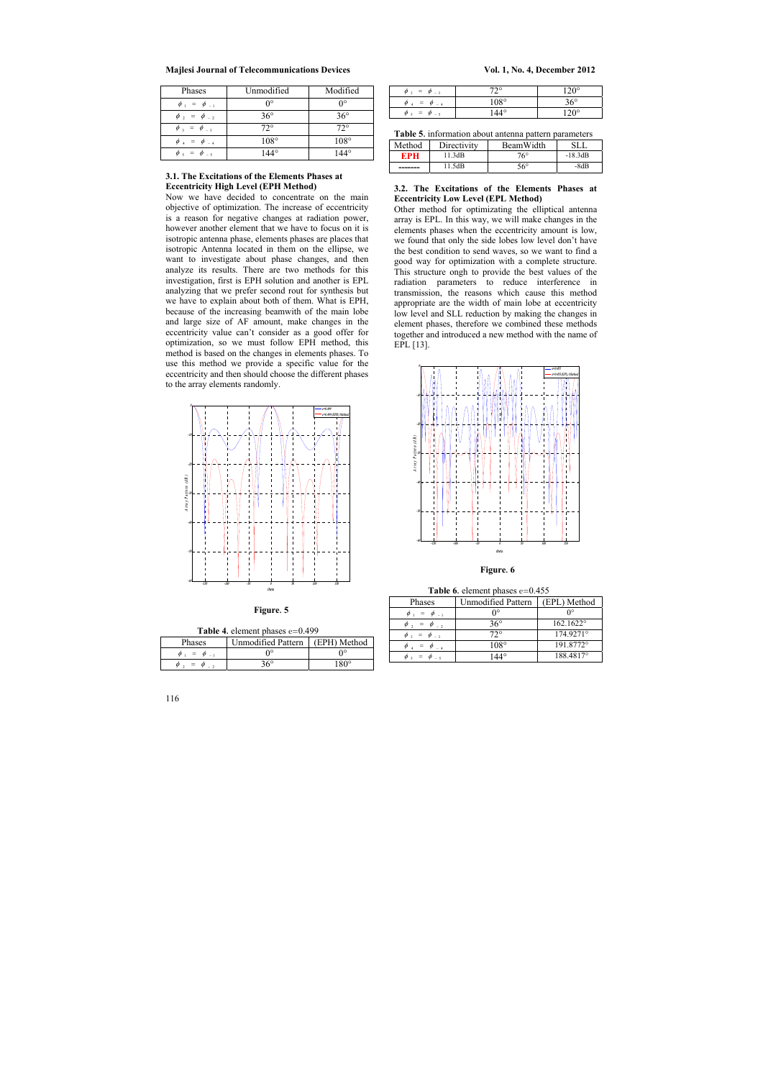| Phases                                     | Unmodified       | Modified                |
|--------------------------------------------|------------------|-------------------------|
| $\phi_1 = \phi_{-1}$                       | $\theta^{\circ}$ | ∩∘                      |
| $\phi$ <sub>2</sub> = $\phi$ <sub>-2</sub> | $36^\circ$       | $36^\circ$              |
| $\phi_{3} = \phi_{3}$                      | $72^{\circ}$     | $72^{\circ}$            |
| $\phi_4 = \phi_{-4}$                       | $108^\circ$      | $108^\circ$             |
| $\phi_{5} = \phi_{-5}$                     | $AA^{\circ}$     | $\Delta\Lambda^{\circ}$ |

### **3.1. The Excitations of the Elements Phases at Eccentricity High Level (EPH Method)**

Now we have decided to concentrate on the main objective of optimization. The increase of eccentricity is a reason for negative changes at radiation power, however another element that we have to focus on it is isotropic antenna phase, elements phases are places that isotropic Antenna located in them on the ellipse, we want to investigate about phase changes, and then analyze its results. There are two methods for this investigation, first is EPH solution and another is EPL analyzing that we prefer second rout for synthesis but we have to explain about both of them. What is EPH, because of the increasing beamwith of the main lobe and large size of AF amount, make changes in the eccentricity value can't consider as a good offer for optimization, so we must follow EPH method, this method is based on the changes in elements phases. To use this method we provide a specific value for the eccentricity and then should choose the different phases to the array elements randomly.



 **Figure. 5** 

**Table 6.** element phases e=0.455

| Phases                                         | <b>Unmodified Pattern</b> | (EPL) Method       |
|------------------------------------------------|---------------------------|--------------------|
| $=$ $\phi$ <sub>-1</sub><br>$\varphi$ ,        |                           | ∩∘                 |
| $=$ $\phi$ <sub>-2</sub><br>$\varphi$ ,        | $36^\circ$                | $162.1622^{\circ}$ |
| $\phi_3 = \phi_{-3}$                           | $72^{\circ}$              | 174.9271°          |
| $=$ $\phi$ $_{-\,4}$<br>$\varphi$ <sub>1</sub> | $108^\circ$               | 191.8772°          |
| $=$ $\varphi$                                  |                           | 188.4817°          |

| <b>Table 4.</b> element phases $e=0.499$ |
|------------------------------------------|
|------------------------------------------|

| <b>Phases</b> | Unmodified Pattern   (EPH) Method |        |
|---------------|-----------------------------------|--------|
| $=$           | $\mathsf{n}$ °                    | Ω°     |
| $=$           | २6°                               | ۱ ۹ ۵۰ |

| $=$<br><sub>a</sub><br><sub>a</sub><br>$-3$<br>$\sim$ | 700           | $\Omega$     |
|-------------------------------------------------------|---------------|--------------|
| $=$<br>$\varnothing$<br>- 4<br>$\sim$                 | $108^{\circ}$ | $36^{\circ}$ |
| $=$<br>$\varnothing$<br><sub>o</sub><br>$-5$          |               | $\Omega$     |

| Table 5. information about antenna pattern parameters |  |  |  |
|-------------------------------------------------------|--|--|--|
|-------------------------------------------------------|--|--|--|

| Method | Directivity | BeamWidth    | SL.       |
|--------|-------------|--------------|-----------|
| MPH    | 11.3dB      | $76^\circ$   | $-18.3dB$ |
| ------ | 11.5dB      | $56^{\circ}$ | $-8dB$    |

### **3.2. The Excitations of the Elements Phases at Eccentricity Low Level (EPL Method)**

Other method for optimizating the elliptical antenna array is EPL. In this way, we will make changes in the elements phases when the eccentricity amount is low, we found that only the side lobes low level don't have the best condition to send waves, so we want to find a good way for optimization with a complete structure. This structure ongh to provide the best values of the radiation parameters to reduce interference in transmission, the reasons which cause this method appropriate are the width of main lobe at eccentricity low level and SLL reduction by making the changes in element phases, therefore we combined these methods together and introduced a new method with the name of EPL [13].



#### **Figure. 6**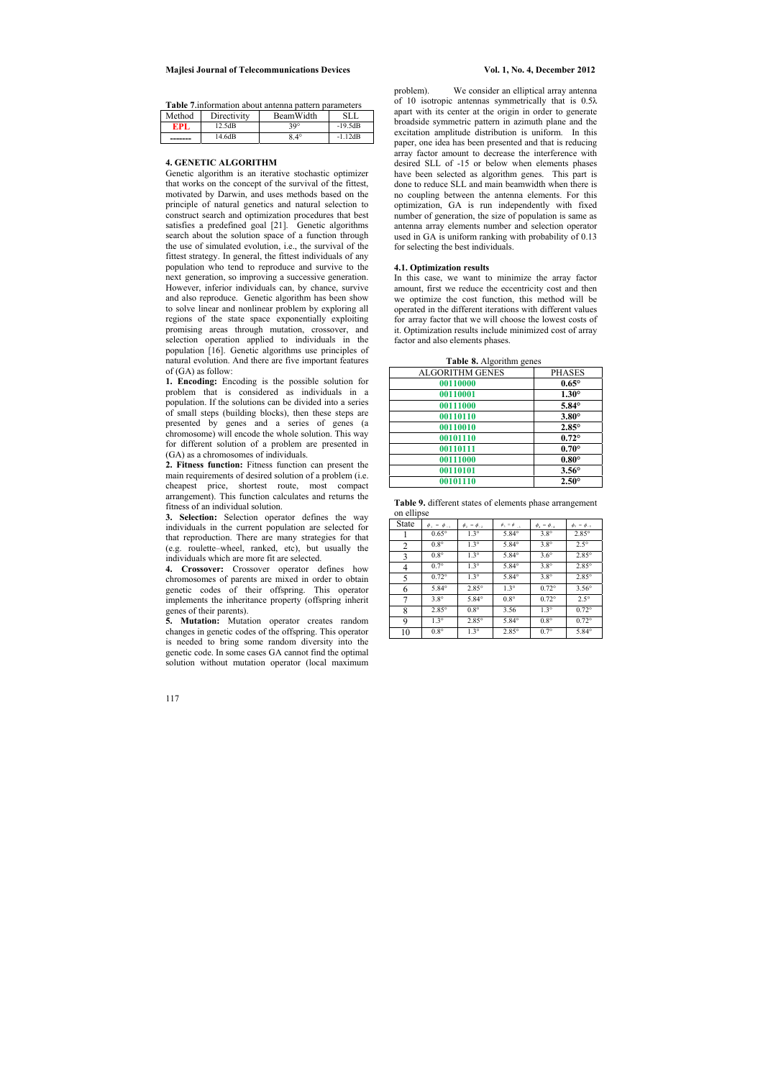| Table 7. information about antenna pattern parameters |             |             |           |
|-------------------------------------------------------|-------------|-------------|-----------|
| Method                                                | Directivity | BeamWidth   | SLL.      |
| EPL                                                   | 12.5dB      | $30^\circ$  | $-19.5dB$ |
|                                                       | 14.6dB      | $8.4^\circ$ | $-1.12dB$ |

#### **4. GENETIC ALGORITHM**

Genetic algorithm is an iterative stochastic optimizer that works on the concept of the survival of the fittest, motivated by Darwin, and uses methods based on the principle of natural genetics and natural selection to construct search and optimization procedures that best satisfies a predefined goal [21]. Genetic algorithms search about the solution space of a function through the use of simulated evolution, i.e., the survival of the fittest strategy. In general, the fittest individuals of any population who tend to reproduce and survive to the next generation, so improving a successive generation. However, inferior individuals can, by chance, survive and also reproduce. Genetic algorithm has been show to solve linear and nonlinear problem by exploring all regions of the state space exponentially exploiting promising areas through mutation, crossover, and selection operation applied to individuals in the population [16]. Genetic algorithms use principles of natural evolution. And there are five important features of (GA) as follow:

**1. Encoding:** Encoding is the possible solution for problem that is considered as individuals in a population. If the solutions can be divided into a series of small steps (building blocks), then these steps are presented by genes and a series of genes (a chromosome) will encode the whole solution. This way for different solution of a problem are presented in (GA) as a chromosomes of individuals.

**2. Fitness function:** Fitness function can present the main requirements of desired solution of a problem (i.e. cheapest price, shortest route, most compact arrangement). This function calculates and returns the fitness of an individual solution.

**3. Selection:** Selection operator defines the way individuals in the current population are selected for that reproduction. There are many strategies for that (e.g. roulette–wheel, ranked, etc), but usually the individuals which are more fit are selected.

**4. Crossover:** Crossover operator defines how chromosomes of parents are mixed in order to obtain genetic codes of their offspring. This operator implements the inheritance property (offspring inherit genes of their parents).

**5. Mutation:** Mutation operator creates random changes in genetic codes of the offspring. This operator is needed to bring some random diversity into the genetic code. In some cases GA cannot find the optimal solution without mutation operator (local maximum

problem). We consider an elliptical array antenna of 10 isotropic antennas symmetrically that is 0.5λ apart with its center at the origin in order to generate broadside symmetric pattern in azimuth plane and the excitation amplitude distribution is uniform. In this paper, one idea has been presented and that is reducing array factor amount to decrease the interference with desired SLL of -15 or below when elements phases have been selected as algorithm genes. This part is done to reduce SLL and main beamwidth when there is no coupling between the antenna elements. For this optimization, GA is run independently with fixed number of generation, the size of population is same as antenna array elements number and selection operator used in GA is uniform ranking with probability of 0.13 for selecting the best individuals.

#### **4.1. Optimization results**

In this case, we want to minimize the array factor amount, first we reduce the eccentricity cost and then we optimize the cost function, this method will be operated in the different iterations with different values for array factor that we will choose the lowest costs of it. Optimization results include minimized cost of array factor and also elements phases.

 **Table 8.** Algorithm genes

| 07                     |                |
|------------------------|----------------|
| <b>ALGORITHM GENES</b> | <b>PHASES</b>  |
| 00110000               | $0.65^{\circ}$ |
| 00110001               | $1.30^\circ$   |
| 00111000               | $5.84^\circ$   |
| 00110110               | $3.80^\circ$   |
| 00110010               | $2.85^\circ$   |
| 00101110               | $0.72^\circ$   |
| 00110111               | $0.70^\circ$   |
| 00111000               | $0.80^\circ$   |
| 00110101               | $3.56^\circ$   |
| 00101110               | $2.50^\circ$   |

**Table 9.** different states of elements phase arrangement on ellipse

|              | $\overline{\text{un}}\text{unpse}$ |                      |                               |                      |                        |  |  |  |  |  |
|--------------|------------------------------------|----------------------|-------------------------------|----------------------|------------------------|--|--|--|--|--|
| <b>State</b> | $\phi_1 = \phi_{-1}$               | $\phi_2 = \phi_{-2}$ | $\phi_3 = \phi$ <sub>-3</sub> | $\phi_4 = \phi_{-4}$ | $\phi_{5} = \phi_{-5}$ |  |  |  |  |  |
|              | $0.65^\circ$                       | $1.3^\circ$          | $5.84^\circ$                  | $3.8^\circ$          | $2.85^\circ$           |  |  |  |  |  |
| 2            | $0.8^\circ$                        | $1.3^\circ$          | $5.84^\circ$                  | $3.8^\circ$          | $2.5^\circ$            |  |  |  |  |  |
| 3            | $0.8^\circ$                        | $1.3^\circ$          | $5.84^\circ$                  | $3.6^\circ$          | $2.85^{\circ}$         |  |  |  |  |  |
| 4            | $0.7^\circ$                        | $1.3^\circ$          | $5.84^\circ$                  | $3.8^\circ$          | $2.85^{\circ}$         |  |  |  |  |  |
| 5            | $0.72^{\circ}$                     | $1.3^\circ$          | $5.84^\circ$                  | $3.8^\circ$          | $2.85^{\circ}$         |  |  |  |  |  |
| 6            | $5.84^\circ$                       | $2.85^\circ$         | $1.3^\circ$                   | $0.72^\circ$         | $3.56^\circ$           |  |  |  |  |  |
| 7            | $3.8^\circ$                        | $5.84^\circ$         | $0.8^\circ$                   | $0.72^{\circ}$       | $2.5^\circ$            |  |  |  |  |  |
| 8            | $2.85^{\circ}$                     | $0.8^\circ$          | 3.56                          | $1.3^\circ$          | $0.72^\circ$           |  |  |  |  |  |
| 9            | $1.3^\circ$                        | $2.85^{\circ}$       | $5.84^\circ$                  | $0.8^\circ$          | $0.72^\circ$           |  |  |  |  |  |
| 10           | $0.8^\circ$                        | $1.3^\circ$          | $2.85^{\circ}$                | $0.7^\circ$          | $5.84^\circ$           |  |  |  |  |  |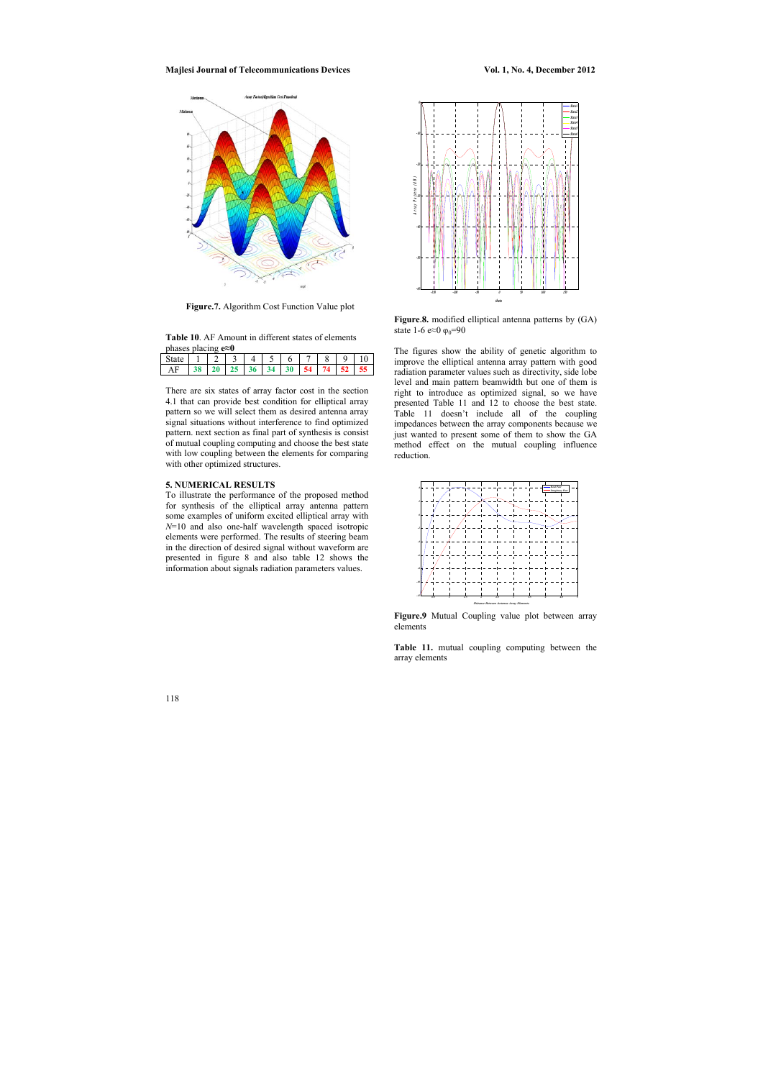118

#### **Majlesi Journal of Telecommunications Devices** Vol. 1, No. 4, December 2012



 **Figure.7.** Algorithm Cost Function Value plot

| <b>Table 10.</b> AF Amount in different states of elements |  |
|------------------------------------------------------------|--|
| phases placing $e \approx 0$                               |  |

| State |                  | $1 \mid 2 \mid 3 \mid$ | $\overline{4}$ |  | 6 7 1 | 8 | 9 |    |
|-------|------------------|------------------------|----------------|--|-------|---|---|----|
| AF    | $\frac{138}{29}$ |                        | $125$ 36 34 30 |  |       |   |   | 55 |
|       |                  |                        |                |  |       |   |   |    |

There are six states of array factor cost in the section 4.1 that can provide best condition for elliptical array pattern so we will select them as desired antenna array signal situations without interference to find optimized pattern. next section as final part of synthesis is consist of mutual coupling computing and choose the best state with low coupling between the elements for comparing with other optimized structures.



**Figure.8.** modified elliptical antenna patterns by (GA) state 1-6 e≈0  $\varphi_0$ =90

### **5. NUMERICAL RESULTS**

To illustrate the performance of the proposed method for synthesis of the elliptical array antenna pattern some examples of uniform excited elliptical array with *N*=10 and also one-half wavelength spaced isotropic elements were performed. The results of steering beam in the direction of desired signal without waveform are presented in figure 8 and also table 12 shows the information about signals radiation parameters values.

The figures show the ability of genetic algorithm to improve the elliptical antenna array pattern with good radiation parameter values such as directivity, side lobe level and main pattern beamwidth but one of them is right to introduce as optimized signal, so we have presented Table 11 and 12 to choose the best state. Table 11 doesn't include all of the coupling impedances between the array components because we just wanted to present some of them to show the GA method effect on the mutual coupling influence reduction.



**Figure.9** Mutual Coupling value plot between array elements

**Table 11.** mutual coupling computing between the array elements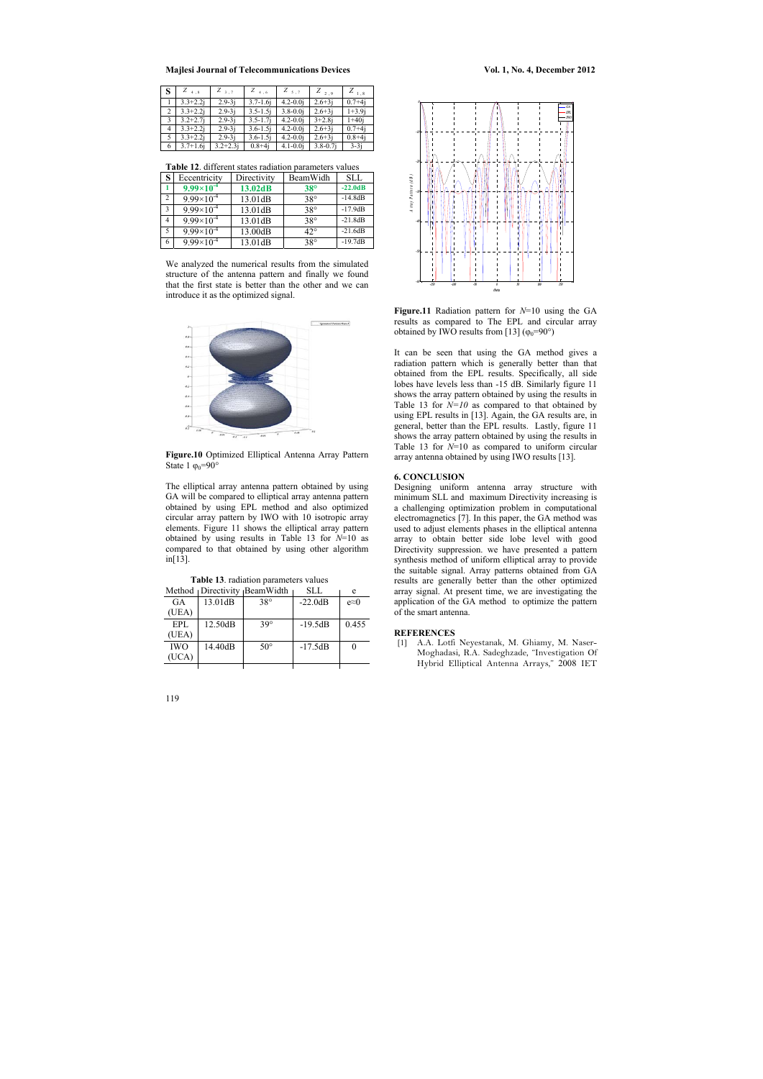|   | $Z_{4,8}$     | $Z_{3,7}$    | $Z_{4,6}$     | $Z_{5,7}$    | $Z_{2,9}$    | $Z_{1.8}$  |
|---|---------------|--------------|---------------|--------------|--------------|------------|
|   | $3.3 + 2.2i$  | $2.9 - 3j$   | $3.7 - 1.6$ j | $4.2 - 0.0j$ | $2.6 + 3j$   | $0.7 + 4j$ |
| 2 | $3.3 + 2.2i$  | $2.9 - 3i$   | $3.5 - 1.5j$  | $3.8 - 0.0j$ | $2.6 + 3j$   | $1+3.9j$   |
| 3 | $3.2 + 2.7$ j | $2.9 - 3j$   | $3.5 - 1.7j$  | $4.2 - 0.0j$ | $3 + 2.8i$   | $1+40j$    |
| 4 | $3.3 + 2.2i$  | $2.9 - 3j$   | $3.6 - 1.5j$  | $4.2 - 0.0j$ | $2.6 + 3j$   | $0.7 + 4j$ |
| 5 | $3.3 + 2.2i$  | $2.9 - 3j$   | $3.6 - 1.5j$  | $4.2 - 0.0j$ | $2.6 + 3j$   | $0.8 + 4j$ |
| 6 | $3.7 + 1.6$ j | $3.2 + 2.3j$ | $0.8 + 4j$    | $4.1 - 0.0j$ | $3.8 - 0.7j$ | $3-3j$     |

**Table 12**. different states radiation parameters values



**Figure.10** Optimized Elliptical Antenna Array Pattern State 1  $\varphi_0 = 90^\circ$ 

| S              | Eccentricity        | Directivity | BeamWidh     | <b>SLL</b> |
|----------------|---------------------|-------------|--------------|------------|
|                | $9.99\times10^{-4}$ | 13.02dB     | $38^\circ$   | $-22.0dB$  |
| 2              | $9.99\times10^{-4}$ | 13.01dB     | $38^{\circ}$ | $-14.8dB$  |
| 3              | $9.99\times10^{-4}$ | 13.01dB     | $38^\circ$   | $-17.9dB$  |
| $\overline{4}$ | $9.99\times10^{-4}$ | 13.01dB     | $38^\circ$   | $-21.8dB$  |
| 5              | $9.99\times10^{-4}$ | 13.00dB     | $42^{\circ}$ | $-21.6dB$  |
| 6              | $9.99\times10^{-4}$ | 13.01dB     | $38^\circ$   | $-19.7dB$  |

We analyzed the numerical results from the simulated structure of the antenna pattern and finally we found that the first state is better than the other and we can introduce it as the optimized signal.

> **Figure.11** Radiation pattern for *N*=10 using the GA results as compared to The EPL and circular array obtained by IWO results from [13] ( $\varphi_0$ =90°)

The elliptical array antenna pattern obtained by using GA will be compared to elliptical array antenna pattern obtained by using EPL method and also optimized circular array pattern by IWO with 10 isotropic array elements. Figure 11 shows the elliptical array pattern obtained by using results in Table 13 for *N*=10 as compared to that obtained by using other algorithm in[13].

|  |  |  | Table 13. radiation parameters values |  |
|--|--|--|---------------------------------------|--|
|  |  |  |                                       |  |

|            |         | Method Directivity BeamWidth | SLL       | e             |
|------------|---------|------------------------------|-----------|---------------|
| GA         | 13.01dB | $38^\circ$                   | $-22.0dB$ | $e \approx 0$ |
| (UEA)      |         |                              |           |               |
| EPL        | 12.50dB | $39^\circ$                   | $-19.5dB$ | 0.455         |
| (UEA)      |         |                              |           |               |
| <b>IWO</b> | 14.40dB | $50^{\circ}$                 | $-17.5dB$ |               |
| (UCA)      |         |                              |           |               |
|            |         |                              |           |               |



It can be seen that using the GA method gives a radiation pattern which is generally better than that obtained from the EPL results. Specifically, all side lobes have levels less than -15 dB. Similarly figure 11 shows the array pattern obtained by using the results in Table 13 for *N=10* as compared to that obtained by using EPL results in [13]. Again, the GA results are, in general, better than the EPL results. Lastly, figure 11 shows the array pattern obtained by using the results in Table 13 for *N*=10 as compared to uniform circular array antenna obtained by using IWO results [13].

### **6. CONCLUSION**

Designing uniform antenna array structure with minimum SLL and maximum Directivity increasing is a challenging optimization problem in computational electromagnetics [7]. In this paper, the GA method was used to adjust elements phases in the elliptical antenna array to obtain better side lobe level with good Directivity suppression. we have presented a pattern synthesis method of uniform elliptical array to provide the suitable signal. Array patterns obtained from GA results are generally better than the other optimized array signal. At present time, we are investigating the application of the GA method to optimize the pattern of the smart antenna.

#### **REFERENCES**

[1] A.A. Lotfi Neyestanak, M. Ghiamy, M. Naser-Moghadasi, R.A. Sadeghzade, "Investigation Of Hybrid Elliptical Antenna Arrays," 2008 IET